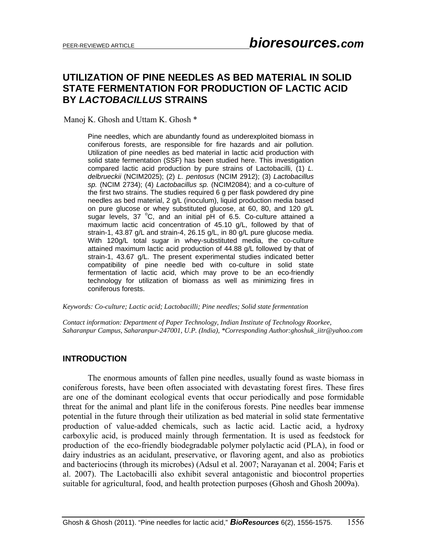# **UTILIZATION OF PINE NEEDLES AS BED MATERIAL IN SOLID STATE FERMENTATION FOR PRODUCTION OF LACTIC ACID BY** *LACTOBACILLUS* **STRAINS**

Manoj K. Ghosh and Uttam K. Ghosh \*

Pine needles, which are abundantly found as underexploited biomass in coniferous forests, are responsible for fire hazards and air pollution. Utilization of pine needles as bed material in lactic acid production with solid state fermentation (SSF) has been studied here. This investigation compared lactic acid production by pure strains of Lactobacilli, (1) *L. delbrueckii* (NCIM2025); (2) *L. pentosus* (NCIM 2912); (3) *Lactobacillus sp.* (NCIM 2734); (4) *Lactobacillus sp.* (NCIM2084); and a co-culture of the first two strains. The studies required 6 g per flask powdered dry pine needles as bed material, 2 g/L (inoculum), liquid production media based on pure glucose or whey substituted glucose, at 60, 80, and 120 g/L sugar levels, 37 °C, and an initial pH of 6.5. Co-culture attained a maximum lactic acid concentration of 45.10 g/L, followed by that of strain-1, 43.87 g/L and strain-4, 26.15 g/L, in 80 g/L pure glucose media. With 120g/L total sugar in whey-substituted media, the co-culture attained maximum lactic acid production of 44.88 g/L followed by that of strain-1, 43.67 g/L. The present experimental studies indicated better compatibility of pine needle bed with co-culture in solid state fermentation of lactic acid, which may prove to be an eco-friendly technology for utilization of biomass as well as minimizing fires in coniferous forests.

*Keywords: Co-culture; Lactic acid; Lactobacilli; Pine needles; Solid state fermentation* 

*Contact information: Department of Paper Technology, Indian Institute of Technology Roorkee, Saharanpur Campus, Saharanpur-247001, U.P. (India), \*Corresponding Author:ghoshuk\_iitr@yahoo.com* 

#### **INTRODUCTION**

The enormous amounts of fallen pine needles, usually found as waste biomass in coniferous forests, have been often associated with devastating forest fires. These fires are one of the dominant ecological events that occur periodically and pose formidable threat for the animal and plant life in the coniferous forests. Pine needles bear immense potential in the future through their utilization as bed material in solid state fermentative production of value-added chemicals, such as lactic acid. Lactic acid, a hydroxy carboxylic acid, is produced mainly through fermentation. It is used as feedstock for production of the eco-friendly biodegradable polymer polylactic acid (PLA), in food or dairy industries as an acidulant, preservative, or flavoring agent, and also as probiotics and bacteriocins (through its microbes) (Adsul et al. 2007; Narayanan et al. 2004; Faris et al. 2007). The Lactobacilli also exhibit several antagonistic and biocontrol properties suitable for agricultural, food, and health protection purposes (Ghosh and Ghosh 2009a).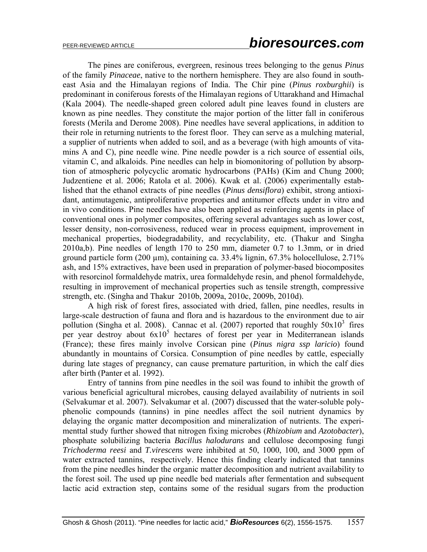The pines are coniferous, evergreen, resinous trees belonging to the genus *Pinus* of the family *Pinaceae*, native to the northern hemisphere. They are also found in southeast Asia and the Himalayan regions of India. The Chir pine (*Pinus roxburghii*) is predominant in coniferous forests of the Himalayan regions of Uttarakhand and Himachal (Kala 2004). The needle-shaped green colored adult pine leaves found in clusters are known as pine needles. They constitute the major portion of the litter fall in coniferous forests (Merila and Derome 2008). Pine needles have several applications, in addition to their role in returning nutrients to the forest floor. They can serve as a mulching material, a supplier of nutrients when added to soil, and as a beverage (with high amounts of vitamins A and C), pine needle wine. Pine needle powder is a rich source of essential oils, vitamin C, and alkaloids. Pine needles can help in biomonitoring of pollution by absorption of atmospheric polycyclic aromatic hydrocarbons (PAHs) (Kim and Chung 2000; Judzentiene et al. 2006; Ratola et al. 2006). Kwak et al. (2006) experimentally established that the ethanol extracts of pine needles (*Pinus densiflora*) exhibit, strong antioxidant, antimutagenic, antiproliferative properties and antitumor effects under in vitro and in vivo conditions. Pine needles have also been applied as reinforcing agents in place of conventional ones in polymer composites, offering several advantages such as lower cost, lesser density, non-corrosiveness, reduced wear in process equipment, improvement in mechanical properties, biodegradability, and recyclability, etc. (Thakur and Singha 2010a,b). Pine needles of length 170 to 250 mm, diameter 0.7 to 1.3mm, or in dried ground particle form  $(200 \mu m)$ , containing ca. 33.4% lignin, 67.3% holocellulose, 2.71% ash, and 15% extractives, have been used in preparation of polymer-based biocomposites with resorcinol formaldehyde matrix, urea formaldehyde resin, and phenol formaldehyde, resulting in improvement of mechanical properties such as tensile strength, compressive strength, etc. (Singha and Thakur 2010b, 2009a, 2010c, 2009b, 2010d).

A high risk of forest fires, associated with dried, fallen, pine needles, results in large-scale destruction of fauna and flora and is hazardous to the environment due to air pollution (Singha et al. 2008). Cannac et al. (2007) reported that roughly  $50x10^3$  fires per year destroy about  $6x10^5$  hectares of forest per year in Mediterranean islands (France); these fires mainly involve Corsican pine (*Pinus nigra ssp laricio*) found abundantly in mountains of Corsica. Consumption of pine needles by cattle, especially during late stages of pregnancy, can cause premature parturition, in which the calf dies after birth (Panter et al. 1992).

Entry of tannins from pine needles in the soil was found to inhibit the growth of various beneficial agricultural microbes, causing delayed availability of nutrients in soil (Selvakumar et al. 2007). Selvakumar et al. (2007) discussed that the water-soluble polyphenolic compounds (tannins) in pine needles affect the soil nutrient dynamics by delaying the organic matter decomposition and mineralization of nutrients. The experimenttal study further showed that nitrogen fixing microbes (*Rhizobium* and *Azotobacter*), phosphate solubilizing bacteria *Bacillus halodurans* and cellulose decomposing fungi *Trichoderma reesi* and *T.virescens* were inhibited at 50, 1000, 100, and 3000 ppm of water extracted tannins, respectively. Hence this finding clearly indicated that tannins from the pine needles hinder the organic matter decomposition and nutrient availability to the forest soil. The used up pine needle bed materials after fermentation and subsequent lactic acid extraction step, contains some of the residual sugars from the production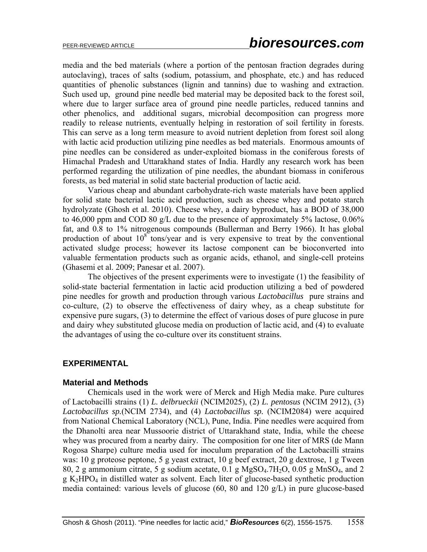media and the bed materials (where a portion of the pentosan fraction degrades during autoclaving), traces of salts (sodium, potassium, and phosphate, etc.) and has reduced quantities of phenolic substances (lignin and tannins) due to washing and extraction. Such used up, ground pine needle bed material may be deposited back to the forest soil, where due to larger surface area of ground pine needle particles, reduced tannins and other phenolics, and additional sugars, microbial decomposition can progress more readily to release nutrients, eventually helping in restoration of soil fertility in forests. This can serve as a long term measure to avoid nutrient depletion from forest soil along with lactic acid production utilizing pine needles as bed materials. Enormous amounts of pine needles can be considered as under-exploited biomass in the coniferous forests of Himachal Pradesh and Uttarakhand states of India. Hardly any research work has been performed regarding the utilization of pine needles, the abundant biomass in coniferous forests, as bed material in solid state bacterial production of lactic acid.

Various cheap and abundant carbohydrate-rich waste materials have been applied for solid state bacterial lactic acid production, such as cheese whey and potato starch hydrolyzate (Ghosh et al. 2010). Cheese whey, a dairy byproduct, has a BOD of 38,000 to 46,000 ppm and COD 80 g/L due to the presence of approximately 5% lactose, 0.06% fat, and 0.8 to 1% nitrogenous compounds (Bullerman and Berry 1966). It has global production of about  $10^8$  tons/year and is very expensive to treat by the conventional activated sludge process; however its lactose component can be bioconverted into valuable fermentation products such as organic acids, ethanol, and single-cell proteins (Ghasemi et al. 2009; Panesar et al. 2007).

The objectives of the present experiments were to investigate (1) the feasibility of solid-state bacterial fermentation in lactic acid production utilizing a bed of powdered pine needles for growth and production through various *Lactobacillus* pure strains and co-culture, (2) to observe the effectiveness of dairy whey, as a cheap substitute for expensive pure sugars, (3) to determine the effect of various doses of pure glucose in pure and dairy whey substituted glucose media on production of lactic acid, and (4) to evaluate the advantages of using the co-culture over its constituent strains.

#### **EXPERIMENTAL**

#### **Material and Methods**

Chemicals used in the work were of Merck and High Media make. Pure cultures of Lactobacilli strains (1) *L. delbrueckii* (NCIM2025), (2) *L. pentosus* (NCIM 2912), (3) *Lactobacillus sp.*(NCIM 2734), and (4) *Lactobacillus sp.* (NCIM2084) were acquired from National Chemical Laboratory (NCL), Pune, India. Pine needles were acquired from the Dhanolti area near Mussoorie district of Uttarakhand state, India, while the cheese whey was procured from a nearby dairy. The composition for one liter of MRS (de Mann Rogosa Sharpe) culture media used for inoculum preparation of the Lactobacilli strains was: 10 g proteose peptone, 5 g yeast extract, 10 g beef extract, 20 g dextrose, 1 g Tween 80, 2 g ammonium citrate, 5 g sodium acetate, 0.1 g  $MgSO<sub>4</sub>$ .7H<sub>2</sub>O, 0.05 g MnSO<sub>4</sub>, and 2  $g K<sub>2</sub>HPO<sub>4</sub>$  in distilled water as solvent. Each liter of glucose-based synthetic production media contained: various levels of glucose (60, 80 and 120 g/L) in pure glucose-based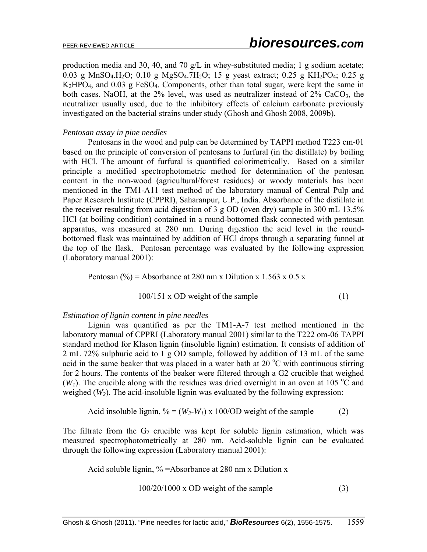production media and 30, 40, and 70 g/L in whey-substituted media; 1 g sodium acetate; 0.03 g MnSO<sub>4</sub>.H<sub>2</sub>O; 0.10 g MgSO<sub>4</sub>.7H<sub>2</sub>O; 15 g yeast extract; 0.25 g KH<sub>2</sub>PO<sub>4</sub>; 0.25 g K2HPO4, and 0.03 g FeSO4. Components, other than total sugar, were kept the same in both cases. NaOH, at the  $2\%$  level, was used as neutralizer instead of  $2\%$  CaCO<sub>3</sub>, the neutralizer usually used, due to the inhibitory effects of calcium carbonate previously investigated on the bacterial strains under study (Ghosh and Ghosh 2008, 2009b).

#### *Pentosan assay in pine needles*

Pentosans in the wood and pulp can be determined by TAPPI method T223 cm-01 based on the principle of conversion of pentosans to furfural (in the distillate) by boiling with HCl. The amount of furfural is quantified colorimetrically. Based on a similar principle a modified spectrophotometric method for determination of the pentosan content in the non-wood (agricultural/forest residues) or woody materials has been mentioned in the TM1-A11 test method of the laboratory manual of Central Pulp and Paper Research Institute (CPPRI), Saharanpur, U.P., India. Absorbance of the distillate in the receiver resulting from acid digestion of 3 g OD (oven dry) sample in 300 mL 13.5% HCl (at boiling condition) contained in a round-bottomed flask connected with pentosan apparatus, was measured at 280 nm. During digestion the acid level in the roundbottomed flask was maintained by addition of HCl drops through a separating funnel at the top of the flask. Pentosan percentage was evaluated by the following expression (Laboratory manual 2001):

Pentosan (%) = Absorbance at 280 nm x Dilution x 1.563 x 0.5 x

$$
100/151 \times OD
$$
 weight of the sample  $(1)$ 

#### *Estimation of lignin content in pine needles*

Lignin was quantified as per the TM1-A-7 test method mentioned in the laboratory manual of CPPRI (Laboratory manual 2001) similar to the T222 om-06 TAPPI standard method for Klason lignin (insoluble lignin) estimation. It consists of addition of 2 mL 72% sulphuric acid to 1 g OD sample, followed by addition of 13 mL of the same acid in the same beaker that was placed in a water bath at  $20^{\circ}$ C with continuous stirring for 2 hours. The contents of the beaker were filtered through a G2 crucible that weighed  $(W<sub>1</sub>)$ . The crucible along with the residues was dried overnight in an oven at 105 °C and weighed  $(W_2)$ . The acid-insoluble lignin was evaluated by the following expression:

Acid insoluble lignin, 
$$
\% = (W_2-W_1) \times 100/OD
$$
 weight of the sample (2)

The filtrate from the  $G_2$  crucible was kept for soluble lignin estimation, which was measured spectrophotometrically at 280 nm. Acid-soluble lignin can be evaluated through the following expression (Laboratory manual 2001):

Acid soluble lignin, % =Absorbance at 280 nm x Dilution x

$$
100/20/1000 \times OD
$$
 weight of the sample  $(3)$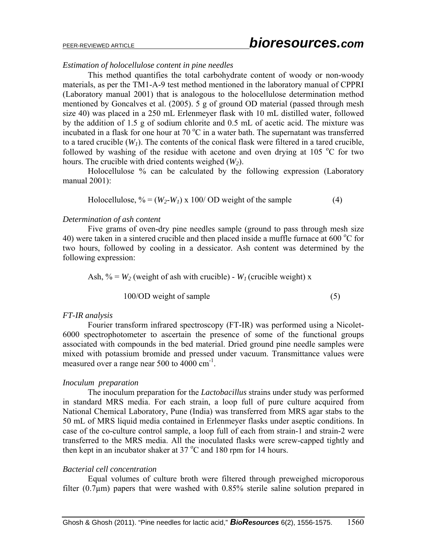#### *Estimation of holocellulose content in pine needles*

This method quantifies the total carbohydrate content of woody or non-woody materials, as per the TM1-A-9 test method mentioned in the laboratory manual of CPPRI (Laboratory manual 2001) that is analogous to the holocellulose determination method mentioned by Goncalves et al. (2005). 5 g of ground OD material (passed through mesh size 40) was placed in a 250 mL Erlenmeyer flask with 10 mL distilled water, followed by the addition of 1.5 g of sodium chlorite and 0.5 mL of acetic acid. The mixture was incubated in a flask for one hour at 70 $\mathrm{^{\circ}C}$  in a water bath. The supernatant was transferred to a tared crucible  $(W_1)$ . The contents of the conical flask were filtered in a tared crucible, followed by washing of the residue with acetone and oven drying at 105  $\degree$ C for two hours. The crucible with dried contents weighed (*W2*).

Holocellulose % can be calculated by the following expression (Laboratory manual 2001):

Holocellulose, 
$$
\% = (W_2-W_1) \times 100/\text{OD}
$$
 weight of the sample (4)

#### *Determination of ash content*

Five grams of oven-dry pine needles sample (ground to pass through mesh size 40) were taken in a sintered crucible and then placed inside a muffle furnace at 600  $^{\circ}$ C for two hours, followed by cooling in a dessicator. Ash content was determined by the following expression:

Ash,  $\% = W_2$  (weight of ash with crucible) -  $W_1$  (crucible weight) x

$$
100/OD weight of sample \tag{5}
$$

#### *FT-IR analysis*

Fourier transform infrared spectroscopy (FT-IR) was performed using a Nicolet-6000 spectrophotometer to ascertain the presence of some of the functional groups associated with compounds in the bed material. Dried ground pine needle samples were mixed with potassium bromide and pressed under vacuum. Transmittance values were measured over a range near 500 to 4000 cm<sup>-1</sup>.

#### *Inoculum preparation*

The inoculum preparation for the *Lactobacillus* strains under study was performed in standard MRS media. For each strain, a loop full of pure culture acquired from National Chemical Laboratory, Pune (India) was transferred from MRS agar stabs to the 50 mL of MRS liquid media contained in Erlenmeyer flasks under aseptic conditions. In case of the co-culture control sample, a loop full of each from strain-1 and strain-2 were transferred to the MRS media. All the inoculated flasks were screw-capped tightly and then kept in an incubator shaker at  $37^{\circ}$ C and 180 rpm for 14 hours.

#### *Bacterial cell concentration*

Equal volumes of culture broth were filtered through preweighed microporous filter  $(0.7\mu m)$  papers that were washed with  $0.85\%$  sterile saline solution prepared in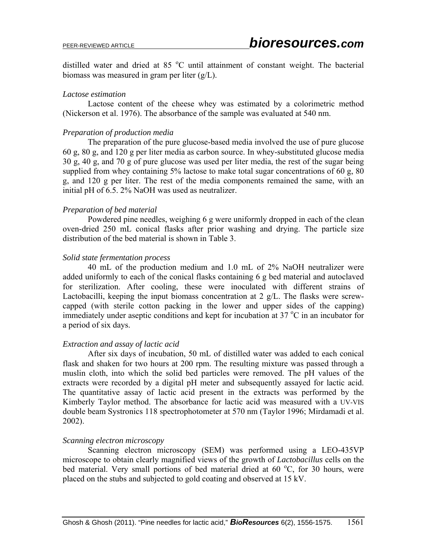distilled water and dried at 85 °C until attainment of constant weight. The bacterial biomass was measured in gram per liter (g/L).

#### *Lactose estimation*

Lactose content of the cheese whey was estimated by a colorimetric method (Nickerson et al. 1976). The absorbance of the sample was evaluated at 540 nm.

#### *Preparation of production media*

The preparation of the pure glucose-based media involved the use of pure glucose 60 g, 80 g, and 120 g per liter media as carbon source. In whey-substituted glucose media 30 g, 40 g, and 70 g of pure glucose was used per liter media, the rest of the sugar being supplied from whey containing 5% lactose to make total sugar concentrations of 60 g, 80 g, and 120 g per liter. The rest of the media components remained the same, with an initial pH of 6.5. 2% NaOH was used as neutralizer.

#### *Preparation of bed material*

Powdered pine needles, weighing 6 g were uniformly dropped in each of the clean oven-dried 250 mL conical flasks after prior washing and drying. The particle size distribution of the bed material is shown in Table 3.

#### *Solid state fermentation process*

40 mL of the production medium and 1.0 mL of 2% NaOH neutralizer were added uniformly to each of the conical flasks containing 6 g bed material and autoclaved for sterilization. After cooling, these were inoculated with different strains of Lactobacilli, keeping the input biomass concentration at 2 g/L. The flasks were screwcapped (with sterile cotton packing in the lower and upper sides of the capping) immediately under aseptic conditions and kept for incubation at  $37^{\circ}$ C in an incubator for a period of six days.

#### *Extraction and assay of lactic acid*

After six days of incubation, 50 mL of distilled water was added to each conical flask and shaken for two hours at 200 rpm. The resulting mixture was passed through a muslin cloth, into which the solid bed particles were removed. The pH values of the extracts were recorded by a digital pH meter and subsequently assayed for lactic acid. The quantitative assay of lactic acid present in the extracts was performed by the Kimberly Taylor method. The absorbance for lactic acid was measured with a UV-VIS double beam Systronics 118 spectrophotometer at 570 nm (Taylor 1996; Mirdamadi et al. 2002).

#### *Scanning electron microscopy*

Scanning electron microscopy (SEM) was performed using a LEO-435VP microscope to obtain clearly magnified views of the growth of *Lactobacillus* cells on the bed material. Very small portions of bed material dried at 60 °C, for 30 hours, were placed on the stubs and subjected to gold coating and observed at 15 kV.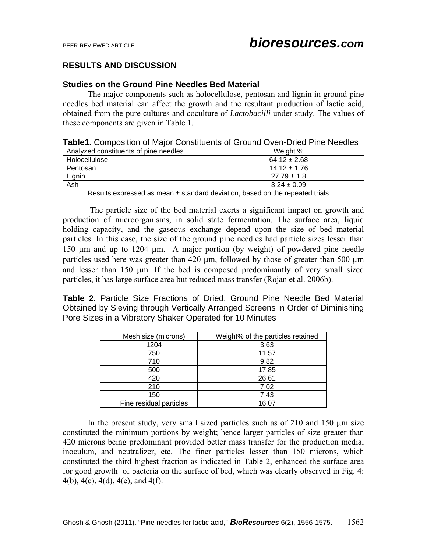# **RESULTS AND DISCUSSION**

### **Studies on the Ground Pine Needles Bed Material**

The major components such as holocellulose, pentosan and lignin in ground pine needles bed material can affect the growth and the resultant production of lactic acid, obtained from the pure cultures and coculture of *Lactobacilli* under study. The values of these components are given in Table 1.

|  | Table1. Composition of Major Constituents of Ground Oven-Dried Pine Needles |  |
|--|-----------------------------------------------------------------------------|--|
|--|-----------------------------------------------------------------------------|--|

| Analyzed constituents of pine needles | Weight %         |
|---------------------------------------|------------------|
| Holocellulose                         | $64.12 \pm 2.68$ |
| Pentosan                              | $14.12 + 1.76$   |
| Lignin                                | $27.79 \pm 1.8$  |
| Ash                                   | $3.24 \pm 0.09$  |

Results expressed as mean  $\pm$  standard deviation, based on the repeated trials

The particle size of the bed material exerts a significant impact on growth and production of microorganisms, in solid state fermentation. The surface area, liquid holding capacity, and the gaseous exchange depend upon the size of bed material particles. In this case, the size of the ground pine needles had particle sizes lesser than 150 µm and up to 1204 µm. A major portion (by weight) of powdered pine needle particles used here was greater than 420  $\mu$ m, followed by those of greater than 500  $\mu$ m and lesser than  $150 \mu m$ . If the bed is composed predominantly of very small sized particles, it has large surface area but reduced mass transfer (Rojan et al. 2006b).

**Table 2.** Particle Size Fractions of Dried, Ground Pine Needle Bed Material Obtained by Sieving through Vertically Arranged Screens in Order of Diminishing Pore Sizes in a Vibratory Shaker Operated for 10 Minutes

| Mesh size (microns)     | Weight% of the particles retained |
|-------------------------|-----------------------------------|
| 1204                    | 3.63                              |
| 750                     | 11.57                             |
| 710                     | 9.82                              |
| 500                     | 17.85                             |
| 420                     | 26.61                             |
| 210                     | 7.02                              |
| 150                     | 7.43                              |
| Fine residual particles | 16.07                             |

In the present study, very small sized particles such as of  $210$  and  $150 \mu m$  size constituted the minimum portions by weight; hence larger particles of size greater than 420 microns being predominant provided better mass transfer for the production media, inoculum, and neutralizer, etc. The finer particles lesser than 150 microns, which constituted the third highest fraction as indicated in Table 2, enhanced the surface area for good growth of bacteria on the surface of bed, which was clearly observed in Fig. 4: 4(b), 4(c), 4(d), 4(e), and 4(f).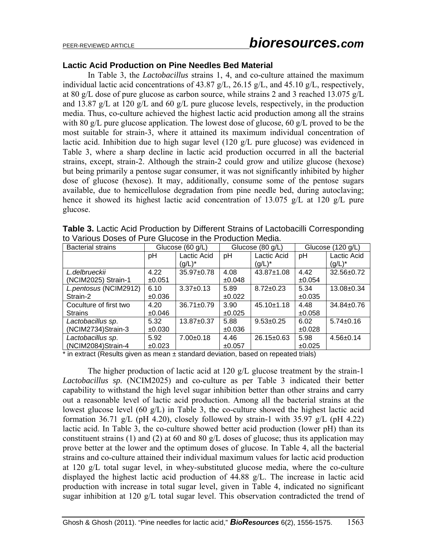# PEER-REVIEWED ARTICLE *bioresources.com*

#### **Lactic Acid Production on Pine Needles Bed Material**

In Table 3, the *Lactobacillus* strains 1, 4, and co-culture attained the maximum individual lactic acid concentrations of 43.87 g/L, 26.15 g/L, and 45.10 g/L, respectively, at 80 g/L dose of pure glucose as carbon source, while strains 2 and 3 reached 13.075 g/L and 13.87 g/L at 120 g/L and 60 g/L pure glucose levels, respectively, in the production media. Thus, co-culture achieved the highest lactic acid production among all the strains with 80 g/L pure glucose application. The lowest dose of glucose, 60 g/L proved to be the most suitable for strain-3, where it attained its maximum individual concentration of lactic acid. Inhibition due to high sugar level (120 g/L pure glucose) was evidenced in Table 3, where a sharp decline in lactic acid production occurred in all the bacterial strains, except, strain-2. Although the strain-2 could grow and utilize glucose (hexose) but being primarily a pentose sugar consumer, it was not significantly inhibited by higher dose of glucose (hexose). It may, additionally, consume some of the pentose sugars available, due to hemicellulose degradation from pine needle bed, during autoclaving; hence it showed its highest lactic acid concentration of 13.075 g/L at 120 g/L pure glucose.

| <b>Bacterial strains</b> | Glucose (60 g/L) |                  | Glucose (80 g/L) |                  | Glucose $(120 g/L)$ |                  |
|--------------------------|------------------|------------------|------------------|------------------|---------------------|------------------|
|                          | рH               | Lactic Acid      | pH               | Lactic Acid      | рH                  | Lactic Acid      |
|                          |                  | (g/L)*           |                  | $(g/L)^*$        |                     | $(g/L)^*$        |
| L.delbrueckii            | 4.22             | 35.97±0.78       | 4.08             | 43.87±1.08       | 4.42                | $32.56 \pm 0.72$ |
| (NCIM2025) Strain-1      | ±0.051           |                  | ±0.048           |                  | ±0.054              |                  |
| L.pentosus (NCIM2912)    | 6.10             | $3.37 \pm 0.13$  | 5.89             | $8.72 \pm 0.23$  | 5.34                | 13.08±0.34       |
| Strain-2                 | ±0.036           |                  | $\pm 0.022$      |                  | ±0.035              |                  |
| Coculture of first two   | 4.20             | $36.71 \pm 0.79$ | 3.90             | $45.10 \pm 1.18$ | 4.48                | $34.84 \pm 0.76$ |
| <b>Strains</b>           | ±0.046           |                  | ±0.025           |                  | ±0.058              |                  |
| Lactobacillus sp.        | 5.32             | $13.87 + 0.37$   | 5.88             | $9.53 \pm 0.25$  | 6.02                | $5.74 \pm 0.16$  |
| (NCIM2734)Strain-3       | ±0.030           |                  | $\pm 0.036$      |                  | ±0.028              |                  |
| Lactobacillus sp.        | 5.92             | $7.00+0.18$      | 4.46             | $26.15 \pm 0.63$ | 5.98                | $4.56 \pm 0.14$  |
| (NCIM2084)Strain-4       | ±0.023           |                  | ±0.057           |                  | ±0.025              |                  |

**Table 3.** Lactic Acid Production by Different Strains of Lactobacilli Corresponding to Various Doses of Pure Glucose in the Production Media.

 $*$  in extract (Results given as mean  $\pm$  standard deviation, based on repeated trials)

The higher production of lactic acid at 120 g/L glucose treatment by the strain-1 *Lactobacillus sp.* (NCIM2025) and co-culture as per Table 3 indicated their better capability to withstand the high level sugar inhibition better than other strains and carry out a reasonable level of lactic acid production. Among all the bacterial strains at the lowest glucose level (60 g/L) in Table 3, the co-culture showed the highest lactic acid formation 36.71 g/L (pH 4.20), closely followed by strain-1 with  $35.97$  g/L (pH 4.22) lactic acid. In Table 3, the co-culture showed better acid production (lower pH) than its constituent strains (1) and (2) at 60 and 80 g/L doses of glucose; thus its application may prove better at the lower and the optimum doses of glucose. In Table 4, all the bacterial strains and co-culture attained their individual maximum values for lactic acid production at 120 g/L total sugar level, in whey-substituted glucose media, where the co-culture displayed the highest lactic acid production of 44.88 g/L. The increase in lactic acid production with increase in total sugar level, given in Table 4, indicated no significant sugar inhibition at 120 g/L total sugar level. This observation contradicted the trend of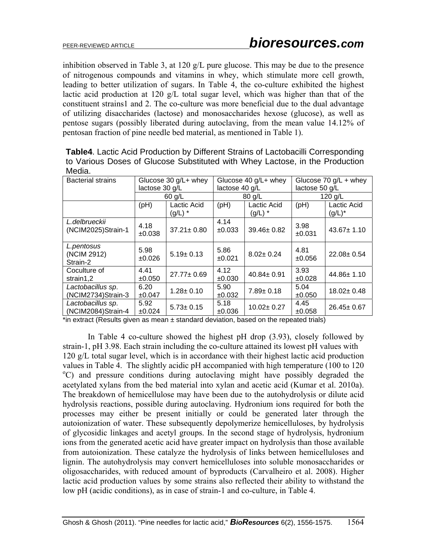inhibition observed in Table 3, at 120 g/L pure glucose. This may be due to the presence of nitrogenous compounds and vitamins in whey, which stimulate more cell growth, leading to better utilization of sugars. In Table 4, the co-culture exhibited the highest lactic acid production at 120 g/L total sugar level, which was higher than that of the constituent strains1 and 2. The co-culture was more beneficial due to the dual advantage of utilizing disaccharides (lactose) and monosaccharides hexose (glucose), as well as pentose sugars (possibly liberated during autoclaving, from the mean value 14.12% of pentosan fraction of pine needle bed material, as mentioned in Table 1).

| iviedia.                                |                                        |                          |                                          |                          |                                             |                          |
|-----------------------------------------|----------------------------------------|--------------------------|------------------------------------------|--------------------------|---------------------------------------------|--------------------------|
| <b>Bacterial strains</b>                | Glucose 30 g/L+ whey<br>lactose 30 g/L |                          | Glucose 40 g/L+ whey<br>lactose 40 $g/L$ |                          | Glucose 70 $g/L +$ whey<br>lactose $50$ g/L |                          |
|                                         |                                        | $60$ g/L<br>$80$ g/L     |                                          |                          | 120 g/L                                     |                          |
|                                         | (pH)                                   | Lactic Acid<br>$(g/L)$ * | (Hq)                                     | Lactic Acid<br>$(g/L)$ * | (PH)                                        | Lactic Acid<br>$(g/L)^*$ |
| L.delbrueckii<br>(NCIM2025)Strain-1     | 4.18<br>±0.038                         | $37.21 \pm 0.80$         | 4.14<br>$\pm 0.033$                      | 39.46±0.82               | 3.98<br>$\pm 0.031$                         | $43.67 \pm 1.10$         |
| L.pentosus<br>(NCIM 2912)<br>Strain-2   | 5.98<br>±0.026                         | $5.19 \pm 0.13$          | 5.86<br>$\pm 0.021$                      | $8.02 \pm 0.24$          | 4.81<br>±0.056                              | $22.08 \pm 0.54$         |
| Coculture of<br>strain1,2               | 4.41<br>±0.050                         | $27.77 \pm 0.69$         | 4.12<br>±0.030                           | $40.84 \pm 0.91$         | 3.93<br>±0.028                              | $44.86 \pm 1.10$         |
| Lactobacillus sp.<br>(NCIM2734)Strain-3 | 6.20<br>±0.047                         | $1.28 \pm 0.10$          | 5.90<br>±0.032                           | $7.89 \pm 0.18$          | 5.04<br>±0.050                              | $18.02 \pm 0.48$         |
| Lactobacillus sp.<br>(NCIM2084)Strain-4 | 5.92<br>±0.024                         | $5.73 \pm 0.15$          | 5.18<br>±0.036                           | $10.02 \pm 0.27$         | 4.45<br>±0.058                              | $26.45 \pm 0.67$         |

**Table4**. Lactic Acid Production by Different Strains of Lactobacilli Corresponding to Various Doses of Glucose Substituted with Whey Lactose, in the Production Media.

\*in extract (Results given as mean  $\pm$  standard deviation, based on the repeated trials)

In Table 4 co-culture showed the highest pH drop (3.93), closely followed by strain-1, pH 3.98. Each strain including the co-culture attained its lowest pH values with 120 g/L total sugar level, which is in accordance with their highest lactic acid production values in Table 4. The slightly acidic  $pH$  accompanied with high temperature (100 to 120 C) and pressure conditions during autoclaving might have possibly degraded the acetylated xylans from the bed material into xylan and acetic acid (Kumar et al. 2010a). The breakdown of hemicellulose may have been due to the autohydrolysis or dilute acid hydrolysis reactions, possible during autoclaving. Hydronium ions required for both the processes may either be present initially or could be generated later through the autoionization of water. These subsequently depolymerize hemicelluloses, by hydrolysis of glycosidic linkages and acetyl groups. In the second stage of hydrolysis, hydronium ions from the generated acetic acid have greater impact on hydrolysis than those available from autoionization. These catalyze the hydrolysis of links between hemicelluloses and lignin. The autohydrolysis may convert hemicelluloses into soluble monosaccharides or oligosaccharides, with reduced amount of byproducts (Carvalheiro et al. 2008). Higher lactic acid production values by some strains also reflected their ability to withstand the low pH (acidic conditions), as in case of strain-1 and co-culture, in Table 4.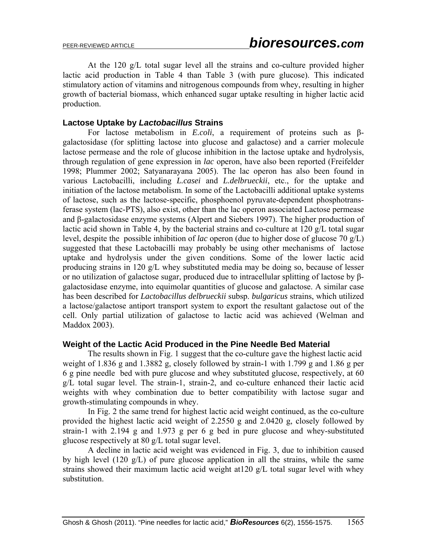At the 120 g/L total sugar level all the strains and co-culture provided higher lactic acid production in Table 4 than Table 3 (with pure glucose). This indicated stimulatory action of vitamins and nitrogenous compounds from whey, resulting in higher growth of bacterial biomass, which enhanced sugar uptake resulting in higher lactic acid production.

## **Lactose Uptake by** *Lactobacillus* **Strains**

For lactose metabolism in *E.coli*, a requirement of proteins such as βgalactosidase (for splitting lactose into glucose and galactose) and a carrier molecule lactose permease and the role of glucose inhibition in the lactose uptake and hydrolysis, through regulation of gene expression in *lac* operon, have also been reported (Freifelder 1998; Plummer 2002; Satyanarayana 2005). The lac operon has also been found in various Lactobacilli, including *L.casei* and *L.delbrueckii*, etc., for the uptake and initiation of the lactose metabolism. In some of the Lactobacilli additional uptake systems of lactose, such as the lactose-specific, phosphoenol pyruvate-dependent phosphotransferase system (lac-PTS), also exist, other than the lac operon associated Lactose permease and β-galactosidase enzyme systems (Alpert and Siebers 1997). The higher production of lactic acid shown in Table 4, by the bacterial strains and co-culture at 120 g/L total sugar level, despite the possible inhibition of *lac* operon (due to higher dose of glucose 70 g/L) suggested that these Lactobacilli may probably be using other mechanisms of lactose uptake and hydrolysis under the given conditions. Some of the lower lactic acid producing strains in 120 g/L whey substituted media may be doing so, because of lesser or no utilization of galactose sugar, produced due to intracellular splitting of lactose by βgalactosidase enzyme, into equimolar quantities of glucose and galactose. A similar case has been described for *Lactobacillus delbrueckii* subsp. *bulgaricus* strains, which utilized a lactose/galactose antiport transport system to export the resultant galactose out of the cell. Only partial utilization of galactose to lactic acid was achieved (Welman and Maddox 2003).

#### **Weight of the Lactic Acid Produced in the Pine Needle Bed Material**

The results shown in Fig. 1 suggest that the co-culture gave the highest lactic acid weight of 1.836 g and 1.3882 g, closely followed by strain-1 with 1.799 g and 1.86 g per 6 g pine needle bed with pure glucose and whey substituted glucose, respectively, at 60 g/L total sugar level. The strain-1, strain-2, and co-culture enhanced their lactic acid weights with whey combination due to better compatibility with lactose sugar and growth-stimulating compounds in whey.

In Fig. 2 the same trend for highest lactic acid weight continued, as the co-culture provided the highest lactic acid weight of 2.2550 g and 2.0420 g, closely followed by strain-1 with 2.194 g and 1.973 g per 6 g bed in pure glucose and whey-substituted glucose respectively at 80 g/L total sugar level.

A decline in lactic acid weight was evidenced in Fig. 3, due to inhibition caused by high level (120 g/L) of pure glucose application in all the strains, while the same strains showed their maximum lactic acid weight at120 g/L total sugar level with whey substitution.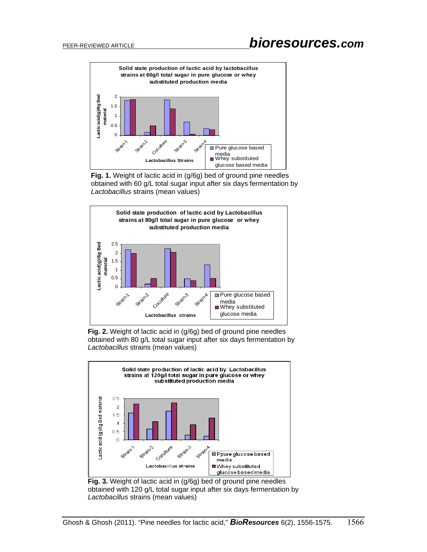# PEER-REVIEWED ARTICLE *bioresources.com*



**Fig. 1.** Weight of lactic acid in (g/6g) bed of ground pine needles obtained with 60 g/L total sugar input after six days fermentation by *Lactobacillus* strains (mean values)



**Fig. 2.** Weight of lactic acid in (g/6g) bed of ground pine needles obtained with 80 g/L total sugar input after six days fermentation by *Lactobacillus* strains (mean values)



**Fig. 3.** Weight of lactic acid in (g/6g) bed of ground pine needles obtained with 120 g/L total sugar input after six days fermentation by *Lactobacillus* strains (mean values)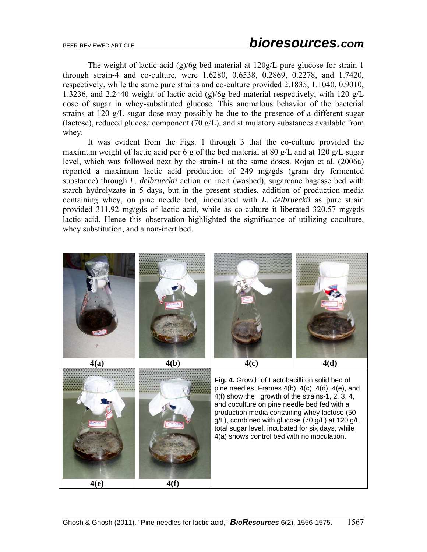The weight of lactic acid (g)/6g bed material at 120g/L pure glucose for strain-1 through strain-4 and co-culture, were 1.6280, 0.6538, 0.2869, 0.2278, and 1.7420, respectively, while the same pure strains and co-culture provided 2.1835, 1.1040, 0.9010, 1.3236, and 2.2440 weight of lactic acid (g)/6g bed material respectively, with 120 g/L dose of sugar in whey-substituted glucose. This anomalous behavior of the bacterial strains at 120 g/L sugar dose may possibly be due to the presence of a different sugar (lactose), reduced glucose component (70  $g/L$ ), and stimulatory substances available from whey.

It was evident from the Figs. 1 through 3 that the co-culture provided the maximum weight of lactic acid per 6 g of the bed material at 80 g/L and at 120 g/L sugar level, which was followed next by the strain-1 at the same doses. Rojan et al. (2006a) reported a maximum lactic acid production of 249 mg/gds (gram dry fermented substance) through *L. delbrueckii* action on inert (washed), sugarcane bagasse bed with starch hydrolyzate in 5 days, but in the present studies, addition of production media containing whey, on pine needle bed, inoculated with *L. delbrueckii* as pure strain provided 311.92 mg/gds of lactic acid, while as co-culture it liberated 320.57 mg/gds lactic acid. Hence this observation highlighted the significance of utilizing coculture, whey substitution, and a non-inert bed.

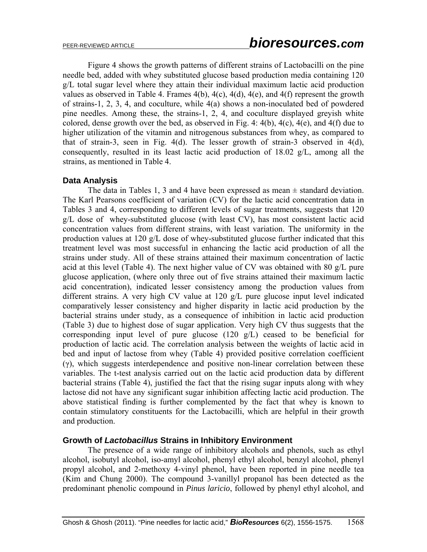Figure 4 shows the growth patterns of different strains of Lactobacilli on the pine needle bed, added with whey substituted glucose based production media containing 120 g/L total sugar level where they attain their individual maximum lactic acid production values as observed in Table 4. Frames  $4(b)$ ,  $4(c)$ ,  $4(d)$ ,  $4(e)$ , and  $4(f)$  represent the growth of strains-1, 2, 3, 4, and coculture, while 4(a) shows a non-inoculated bed of powdered pine needles. Among these, the strains-1, 2, 4, and coculture displayed greyish white colored, dense growth over the bed, as observed in Fig. 4: 4(b), 4(c), 4(e), and 4(f) due to higher utilization of the vitamin and nitrogenous substances from whey, as compared to that of strain-3, seen in Fig. 4(d). The lesser growth of strain-3 observed in 4(d), consequently, resulted in its least lactic acid production of 18.02 g/L, among all the strains, as mentioned in Table 4.

# **Data Analysis**

The data in Tables 1, 3 and 4 have been expressed as mean  $\pm$  standard deviation. The Karl Pearsons coefficient of variation (CV) for the lactic acid concentration data in Tables 3 and 4, corresponding to different levels of sugar treatments, suggests that 120 g/L dose of whey-substituted glucose (with least CV), has most consistent lactic acid concentration values from different strains, with least variation. The uniformity in the production values at 120 g/L dose of whey-substituted glucose further indicated that this treatment level was most successful in enhancing the lactic acid production of all the strains under study. All of these strains attained their maximum concentration of lactic acid at this level (Table 4). The next higher value of CV was obtained with 80 g/L pure glucose application, (where only three out of five strains attained their maximum lactic acid concentration), indicated lesser consistency among the production values from different strains. A very high CV value at 120 g/L pure glucose input level indicated comparatively lesser consistency and higher disparity in lactic acid production by the bacterial strains under study, as a consequence of inhibition in lactic acid production (Table 3) due to highest dose of sugar application. Very high CV thus suggests that the corresponding input level of pure glucose (120 g/L) ceased to be beneficial for production of lactic acid. The correlation analysis between the weights of lactic acid in bed and input of lactose from whey (Table 4) provided positive correlation coefficient (γ), which suggests interdependence and positive non-linear correlation between these variables. The t-test analysis carried out on the lactic acid production data by different bacterial strains (Table 4), justified the fact that the rising sugar inputs along with whey lactose did not have any significant sugar inhibition affecting lactic acid production. The above statistical finding is further complemented by the fact that whey is known to contain stimulatory constituents for the Lactobacilli, which are helpful in their growth and production.

# **Growth of** *Lactobacillus* **Strains in Inhibitory Environment**

 The presence of a wide range of inhibitory alcohols and phenols, such as ethyl alcohol, isobutyl alcohol, iso-amyl alcohol, phenyl ethyl alcohol, benzyl alcohol, phenyl propyl alcohol, and 2-methoxy 4-vinyl phenol, have been reported in pine needle tea (Kim and Chung 2000). The compound 3-vanillyl propanol has been detected as the predominant phenolic compound in *Pinus laricio*, followed by phenyl ethyl alcohol, and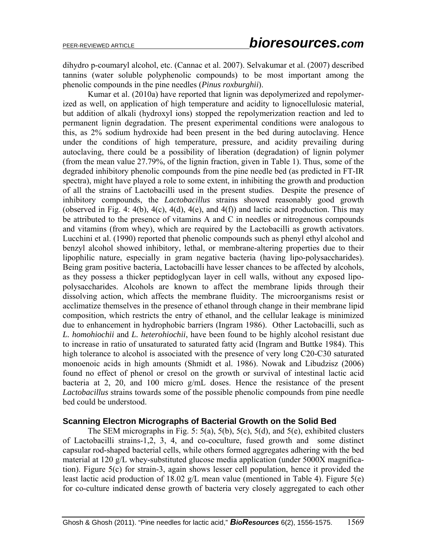dihydro p-coumaryl alcohol, etc. (Cannac et al. 2007). Selvakumar et al. (2007) described tannins (water soluble polyphenolic compounds) to be most important among the phenolic compounds in the pine needles (*Pinus roxburghii*).

Kumar et al. (2010a) have reported that lignin was depolymerized and repolymerized as well, on application of high temperature and acidity to lignocellulosic material, but addition of alkali (hydroxyl ions) stopped the repolymerization reaction and led to permanent lignin degradation. The present experimental conditions were analogous to this, as 2% sodium hydroxide had been present in the bed during autoclaving. Hence under the conditions of high temperature, pressure, and acidity prevailing during autoclaving, there could be a possibility of liberation (degradation) of lignin polymer (from the mean value 27.79%, of the lignin fraction, given in Table 1). Thus, some of the degraded inhibitory phenolic compounds from the pine needle bed (as predicted in FT-IR spectra), might have played a role to some extent, in inhibiting the growth and production of all the strains of Lactobacilli used in the present studies. Despite the presence of inhibitory compounds, the *Lactobacillus* strains showed reasonably good growth (observed in Fig. 4: 4(b), 4(c), 4(d), 4(e), and 4(f)) and lactic acid production. This may be attributed to the presence of vitamins A and C in needles or nitrogenous compounds and vitamins (from whey), which are required by the Lactobacilli as growth activators. Lucchini et al. (1990) reported that phenolic compounds such as phenyl ethyl alcohol and benzyl alcohol showed inhibitory, lethal, or membrane-altering properties due to their lipophilic nature, especially in gram negative bacteria (having lipo-polysaccharides). Being gram positive bacteria, Lactobacilli have lesser chances to be affected by alcohols, as they possess a thicker peptidoglycan layer in cell walls, without any exposed lipopolysaccharides. Alcohols are known to affect the membrane lipids through their dissolving action, which affects the membrane fluidity. The microorganisms resist or acclimatize themselves in the presence of ethanol through change in their membrane lipid composition, which restricts the entry of ethanol, and the cellular leakage is minimized due to enhancement in hydrophobic barriers (Ingram 1986). Other Lactobacilli, such as *L. homohiochii* and *L. heterohiochii*, have been found to be highly alcohol resistant due to increase in ratio of unsaturated to saturated fatty acid (Ingram and Buttke 1984). This high tolerance to alcohol is associated with the presence of very long C20-C30 saturated monoenoic acids in high amounts (Shmidt et al. 1986). Nowak and Libudzisz (2006) found no effect of phenol or cresol on the growth or survival of intestinal lactic acid bacteria at 2, 20, and 100 micro g/mL doses. Hence the resistance of the present *Lactobacillus* strains towards some of the possible phenolic compounds from pine needle bed could be understood.

# **Scanning Electron Micrographs of Bacterial Growth on the Solid Bed**

The SEM micrographs in Fig. 5: 5(a), 5(b), 5(c), 5(d), and 5(e), exhibited clusters of Lactobacilli strains-1,2, 3, 4, and co-coculture, fused growth and some distinct capsular rod-shaped bacterial cells, while others formed aggregates adhering with the bed material at 120 g/L whey-substituted glucose media application (under 5000X magnification). Figure 5(c) for strain-3, again shows lesser cell population, hence it provided the least lactic acid production of 18.02 g/L mean value (mentioned in Table 4). Figure 5(e) for co-culture indicated dense growth of bacteria very closely aggregated to each other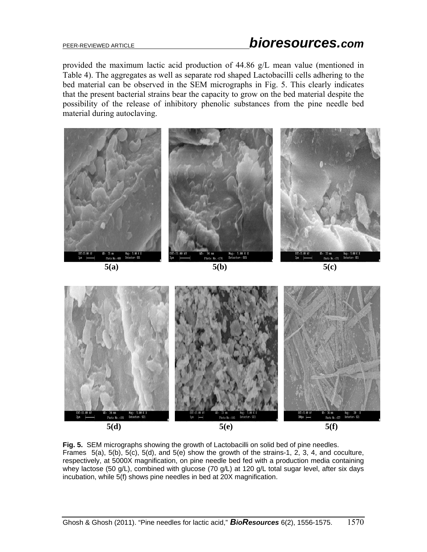provided the maximum lactic acid production of 44.86 g/L mean value (mentioned in Table 4). The aggregates as well as separate rod shaped Lactobacilli cells adhering to the bed material can be observed in the SEM micrographs in Fig. 5. This clearly indicates that the present bacterial strains bear the capacity to grow on the bed material despite the possibility of the release of inhibitory phenolic substances from the pine needle bed material during autoclaving.



**Fig. 5.** SEM micrographs showing the growth of Lactobacilli on solid bed of pine needles. Frames 5(a), 5(b), 5(c), 5(d), and 5(e) show the growth of the strains-1, 2, 3, 4, and coculture, respectively, at 5000X magnification, on pine needle bed fed with a production media containing whey lactose (50 g/L), combined with glucose (70 g/L) at 120 g/L total sugar level, after six days incubation, while 5(f) shows pine needles in bed at 20X magnification.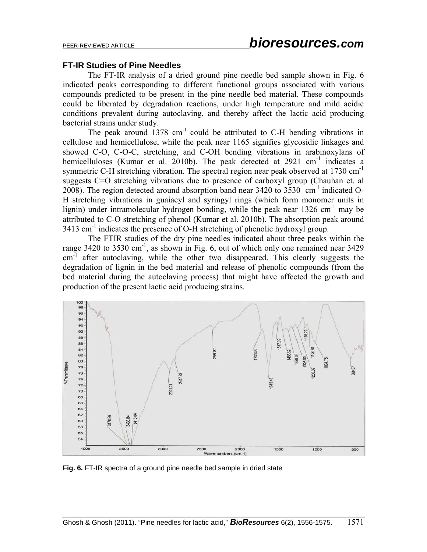#### **FT-IR Studies of Pine Needles**

The FT-IR analysis of a dried ground pine needle bed sample shown in Fig. 6 indicated peaks corresponding to different functional groups associated with various compounds predicted to be present in the pine needle bed material. These compounds could be liberated by degradation reactions, under high temperature and mild acidic conditions prevalent during autoclaving, and thereby affect the lactic acid producing bacterial strains under study.

The peak around  $1378$  cm<sup>-1</sup> could be attributed to C-H bending vibrations in cellulose and hemicellulose, while the peak near 1165 signifies glycosidic linkages and showed C-O, C-O-C, stretching, and C-OH bending vibrations in arabinoxylans of hemicelluloses (Kumar et al. 2010b). The peak detected at  $2921 \text{ cm}^{-1}$  indicates a symmetric C-H stretching vibration. The spectral region near peak observed at  $1730 \text{ cm}^{-1}$ suggests C=O stretching vibrations due to presence of carboxyl group (Chauhan et. al 2008). The region detected around absorption band near  $3420$  to  $3530$  cm<sup>-1</sup> indicated O-H stretching vibrations in guaiacyl and syringyl rings (which form monomer units in lignin) under intramolecular hydrogen bonding, while the peak near  $1326 \text{ cm}^{-1}$  may be attributed to C-O stretching of phenol (Kumar et al. 2010b). The absorption peak around 3413 cm-1 indicates the presence of O-H stretching of phenolic hydroxyl group.

The FTIR studies of the dry pine needles indicated about three peaks within the range 3420 to 3530 cm<sup>-1</sup>, as shown in Fig. 6, out of which only one remained near 3429 cm<sup>-1</sup> after autoclaving, while the other two disappeared. This clearly suggests the degradation of lignin in the bed material and release of phenolic compounds (from the bed material during the autoclaving process) that might have affected the growth and production of the present lactic acid producing strains.



**Fig. 6.** FT-IR spectra of a ground pine needle bed sample in dried state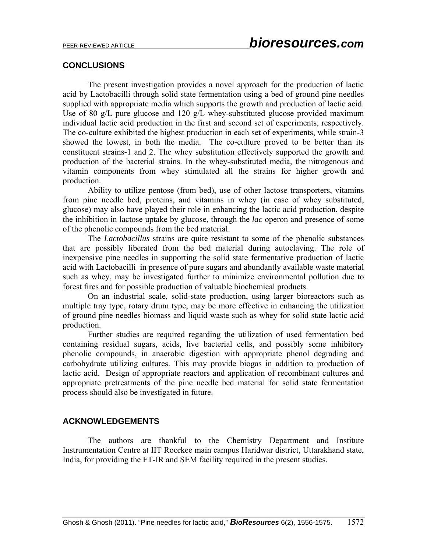### **CONCLUSIONS**

The present investigation provides a novel approach for the production of lactic acid by Lactobacilli through solid state fermentation using a bed of ground pine needles supplied with appropriate media which supports the growth and production of lactic acid. Use of 80 g/L pure glucose and 120 g/L whey-substituted glucose provided maximum individual lactic acid production in the first and second set of experiments, respectively. The co-culture exhibited the highest production in each set of experiments, while strain-3 showed the lowest, in both the media. The co-culture proved to be better than its constituent strains-1 and 2. The whey substitution effectively supported the growth and production of the bacterial strains. In the whey-substituted media, the nitrogenous and vitamin components from whey stimulated all the strains for higher growth and production.

Ability to utilize pentose (from bed), use of other lactose transporters, vitamins from pine needle bed, proteins, and vitamins in whey (in case of whey substituted, glucose) may also have played their role in enhancing the lactic acid production, despite the inhibition in lactose uptake by glucose, through the *lac* operon and presence of some of the phenolic compounds from the bed material.

The *Lactobacillus* strains are quite resistant to some of the phenolic substances that are possibly liberated from the bed material during autoclaving. The role of inexpensive pine needles in supporting the solid state fermentative production of lactic acid with Lactobacilli in presence of pure sugars and abundantly available waste material such as whey, may be investigated further to minimize environmental pollution due to forest fires and for possible production of valuable biochemical products.

On an industrial scale, solid-state production, using larger bioreactors such as multiple tray type, rotary drum type, may be more effective in enhancing the utilization of ground pine needles biomass and liquid waste such as whey for solid state lactic acid production.

Further studies are required regarding the utilization of used fermentation bed containing residual sugars, acids, live bacterial cells, and possibly some inhibitory phenolic compounds, in anaerobic digestion with appropriate phenol degrading and carbohydrate utilizing cultures. This may provide biogas in addition to production of lactic acid. Design of appropriate reactors and application of recombinant cultures and appropriate pretreatments of the pine needle bed material for solid state fermentation process should also be investigated in future.

# **ACKNOWLEDGEMENTS**

The authors are thankful to the Chemistry Department and Institute Instrumentation Centre at IIT Roorkee main campus Haridwar district, Uttarakhand state, India, for providing the FT-IR and SEM facility required in the present studies.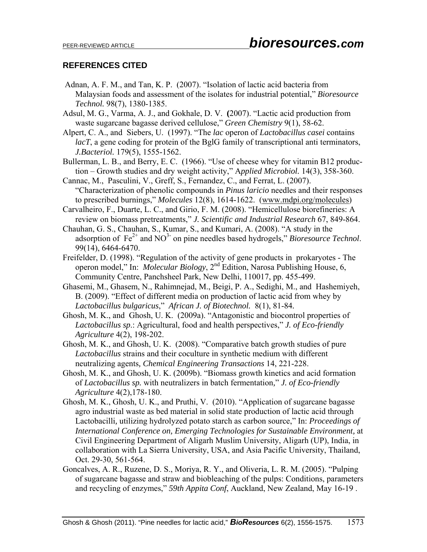# **REFERENCES CITED**

- Adnan, A. F. M., and Tan, K. P. (2007). "Isolation of lactic acid bacteria from Malaysian foods and assessment of the isolates for industrial potential," *Bioresource Technol.* 98(7), 1380-1385.
- Adsul, M. G., Varma, A. J., and Gokhale, D. V. **(**2007). "Lactic acid production from waste sugarcane bagasse derived cellulose," *Green Chemistry* 9(1), 58-62.
- Alpert, C. A., and Siebers, U. (1997). "The *lac* operon of *Lactobacillus casei* contains *lacT*, a gene coding for protein of the BglG family of transcriptional anti terminators, *J.Bacteriol.* 179(5), 1555-1562.
- Bullerman, L. B., and Berry, E. C. (1966). "Use of cheese whey for vitamin B12 production – Growth studies and dry weight activity," A*pplied Microbiol.* 14(3), 358-360.
- Cannac, M., Pasculini, V., Greff, S., Fernandez, C., and Ferrat, L. (2007). "Characterization of phenolic compounds in *Pinus laricio* needles and their responses to prescribed burnings," *Molecules* 12(8), 1614-1622. (www.mdpi.org/molecules)
- Carvalheiro, F., Duarte, L. C., and Girio, F. M. (2008). "Hemicellulose biorefineries: A review on biomass pretreatments," *J. Scientific and Industrial Research* 67, 849-864.
- Chauhan, G. S., Chauhan, S., Kumar, S., and Kumari, A. (2008). "A study in the adsorption of  $Fe^{2+}$  and  $NO^3$ <sup>-</sup> on pine needles based hydrogels," *Bioresource Technol*. 99(14), 6464-6470.
- Freifelder, D. (1998). "Regulation of the activity of gene products in prokaryotes The operon model," In: *Molecular Biology*, 2nd Edition, Narosa Publishing House, 6, Community Centre, Panchsheel Park, New Delhi, 110017, pp. 455-499.
- Ghasemi, M., Ghasem, N., Rahimnejad, M., Beigi, P. A., Sedighi, M., and Hashemiyeh, B. (2009). "Effect of different media on production of lactic acid from whey by *Lactobacillus bulgaricus*," *African J. of Biotechnol.* 8(1), 81-84*.*
- Ghosh, M. K., andGhosh, U. K. (2009a). "Antagonistic and biocontrol properties of *Lactobacillus sp*.: Agricultural, food and health perspectives," *J. of Eco-friendly Agriculture* 4(2), 198-202.
- Ghosh, M. K., and Ghosh, U. K. (2008). "Comparative batch growth studies of pure *Lactobacillus* strains and their coculture in synthetic medium with different neutralizing agents*, Chemical Engineering Transactions* 14, 221-228.
- Ghosh, M. K., and Ghosh, U. K. (2009b). "Biomass growth kinetics and acid formation of *Lactobacillus sp.* with neutralizers in batch fermentation*,*" *J. of Eco-friendly Agriculture* 4(2),178-180.
- Ghosh, M. K., Ghosh, U. K., and Pruthi, V. (2010). "Application of sugarcane bagasse agro industrial waste as bed material in solid state production of lactic acid through Lactobacilli*,* utilizing hydrolyzed potato starch as carbon source," In: *Proceedings of International Conference on, Emerging Technologies for Sustainable Environment,* at Civil Engineering Department of Aligarh Muslim University, Aligarh (UP), India, in collaboration with La Sierra University, USA, and Asia Pacific University, Thailand, Oct. 29-30, 561-564.
- Goncalves, A. R., Ruzene, D. S., Moriya, R. Y., and Oliveria, L. R. M. (2005). "Pulping of sugarcane bagasse and straw and biobleaching of the pulps: Conditions, parameters and recycling of enzymes," *59th Appita Conf*, Auckland, New Zealand, May 16-19 .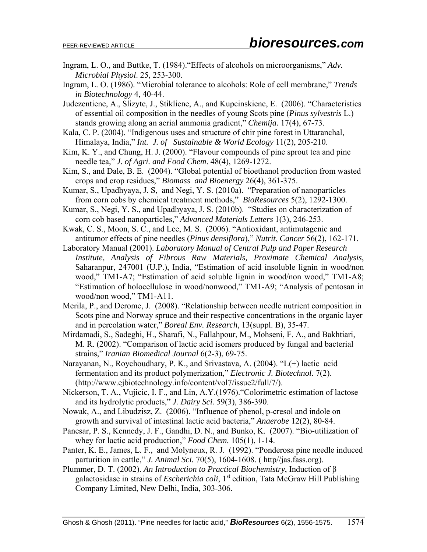- Ingram, L. O., and Buttke, T. (1984)."Effects of alcohols on microorganisms," *Adv. Microbial Physiol*. 25, 253-300.
- Ingram, L. O. (1986). "Microbial tolerance to alcohols: Role of cell membrane," *Trends in Biotechnology* 4, 40-44.
- Judezentiene, A., Slizyte, J., Stikliene, A., and Kupcinskiene, E. (2006). "Characteristics of essential oil composition in the needles of young Scots pine (*Pinus sylvestris* L.) stands growing along an aerial ammonia gradient," *Chemija.* 17(4), 67-73.
- Kala, C. P. (2004). "Indigenous uses and structure of chir pine forest in Uttaranchal, Himalaya, India," *Int. J. of Sustainable & World Ecology* 11(2), 205-210.
- Kim, K. Y., and Chung, H. J. (2000). "Flavour compounds of pine sprout tea and pine needle tea," *J. of Agri. and Food Chem*. 48(4), 1269-1272.
- Kim, S., and Dale, B. E. (2004). "Global potential of bioethanol production from wasted crops and crop residues," *Biomass and Bioenergy* 26(4), 361-375.
- Kumar, S., Upadhyaya, J. S, and Negi, Y. S. (2010a). "Preparation of nanoparticles from corn cobs by chemical treatment methods," *BioResources* 5(2), 1292-1300.
- Kumar, S., Negi, Y. S., and Upadhyaya, J. S. (2010b). "Studies on characterization of corn cob based nanoparticles," *Advanced Materials Letters* 1(3), 246-253.
- Kwak, C. S., Moon, S. C., and Lee, M. S. (2006). "Antioxidant, antimutagenic and antitumor effects of pine needles (*Pinus densiflora*)," *Nutrit. Cancer* 56(2), 162-171.
- Laboratory Manual (2001). *Laboratory Manual of Central Pulp and Paper Research Institute, Analysis of Fibrous Raw Materials, Proximate Chemical Analysis*, Saharanpur, 247001 (U.P.), India, "Estimation of acid insoluble lignin in wood/non wood," TM1-A7; "Estimation of acid soluble lignin in wood/non wood," TM1-A8; "Estimation of holocellulose in wood/nonwood," TM1-A9; "Analysis of pentosan in wood/non wood," TM1-A11.
- Merila, P., and Derome, J. (2008). "Relationship between needle nutrient composition in Scots pine and Norway spruce and their respective concentrations in the organic layer and in percolation water," *Boreal Env. Research*, 13(suppl. B), 35-47.
- Mirdamadi, S., Sadeghi, H., Sharafi, N., Fallahpour, M., Mohseni, F. A., and Bakhtiari, M. R. (2002). "Comparison of lactic acid isomers produced by fungal and bacterial strains," *Iranian Biomedical Journal* 6(2-3), 69-75.
- Narayanan, N., Roychoudhary, P. K., and Srivastava, A. (2004). "L(+) lactic acid fermentation and its product polymerization," *Electronic J. Biotechnol.* 7(2). (http://www.ejbiotechnology.info/content/vol7/issue2/full/7/).
- Nickerson, T. A., Vujicic, I. F., and Lin, A.Y.(1976)."Colorimetric estimation of lactose and its hydrolytic products," *J. Dairy Sci.* 59(3), 386-390.
- Nowak, A., and Libudzisz, Z. (2006). "Influence of phenol, p-cresol and indole on growth and survival of intestinal lactic acid bacteria," *Anaerobe* 12(2), 80-84.
- Panesar, P. S., Kennedy, J. F., Gandhi, D. N., and Bunko, K. (2007). "Bio-utilization of whey for lactic acid production," *Food Chem.* 105(1), 1-14.
- Panter, K. E., James, L. F., and Molyneux, R. J. (1992). "Ponderosa pine needle induced parturition in cattle," *J. Animal Sci.* 70(5), 1604-1608. ( http//jas.fass.org).
- Plummer, D. T. (2002). *An Introduction to Practical Biochemistry*, Induction of β galactosidase in strains of *Escherichia coli*, 1<sup>st</sup> edition, Tata McGraw Hill Publishing Company Limited, New Delhi, India, 303-306.